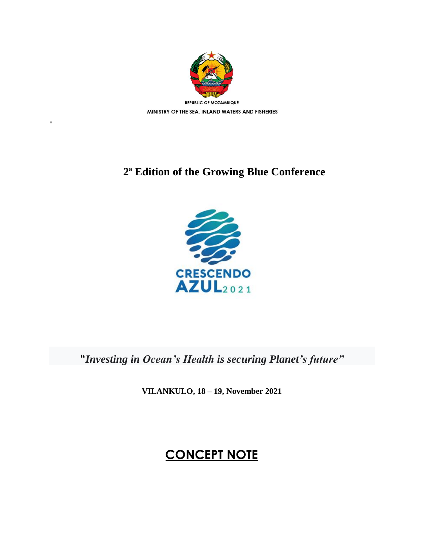

"

## **2ª Edition of the Growing Blue Conference**



**"***Investing in Ocean's Health is securing Planet's future"*

**VILANKULO, 18 – 19, November 2021**

# **CONCEPT NOTE**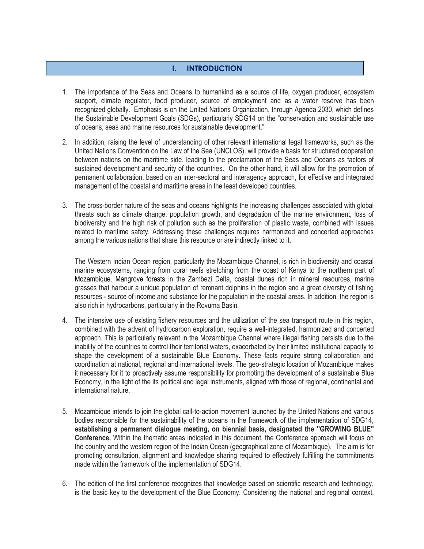#### **I. INTRODUCTION**

- 1. The importance of the Seas and Oceans to humankind as a source of life, oxygen producer, ecosystem support, climate regulator, food producer, source of employment and as a water reserve has been recognized globally. Emphasis is on the United Nations Organization, through Agenda 2030, which defines the Sustainable Development Goals (SDGs), particularly SDG14 on the "conservation and sustainable use of oceans, seas and marine resources for sustainable development."
- 2. In addition, raising the level of understanding of other relevant international legal frameworks, such as the United Nations Convention on the Law of the Sea (UNCLOS), will provide a basis for structured cooperation between nations on the maritime side, leading to the proclamation of the Seas and Oceans as factors of sustained development and security of the countries. On the other hand, it will allow for the promotion of permanent collaboration, based on an inter-sectoral and interagency approach, for effective and integrated management of the coastal and maritime areas in the least developed countries.
- 3. The cross-border nature of the seas and oceans highlights the increasing challenges associated with global threats such as climate change, population growth, and degradation of the marine environment, loss of biodiversity and the high risk of pollution such as the proliferation of plastic waste, combined with issues related to maritime safety. Addressing these challenges requires harmonized and concerted approaches among the various nations that share this resource or are indirectly linked to it.

The Western Indian Ocean region, particularly the Mozambique Channel, is rich in biodiversity and coastal marine ecosystems, ranging from coral reefs stretching from the coast of Kenya to the northern part of Mozambique. Mangrove forests in the Zambezi Delta, coastal dunes rich in mineral resources, marine grasses that harbour a unique population of remnant dolphins in the region and a great diversity of fishing resources - source of income and substance for the population in the coastal areas. In addition, the region is also rich in hydrocarbons, particularly in the Rovuma Basin.

- 4. The intensive use of existing fishery resources and the utilization of the sea transport route in this region, combined with the advent of hydrocarbon exploration, require a well-integrated, harmonized and concerted approach. This is particularly relevant in the Mozambique Channel where illegal fishing persists due to the inability of the countries to control their territorial waters, exacerbated by their limited institutional capacity to shape the development of a sustainable Blue Economy. These facts require strong collaboration and coordination at national, regional and international levels. The geo-strategic location of Mozambique makes it necessary for it to proactively assume responsibility for promoting the development of a sustainable Blue Economy, in the light of the its political and legal instruments, aligned with those of regional, continental and international nature.
- 5. Mozambique intends to join the global call-to-action movement launched by the United Nations and various bodies responsible for the sustainability of the oceans in the framework of the implementation of SDG14, **establishing a permanent dialogue meeting, on biennial basis, designated the "GROWING BLUE" Conference.** Within the thematic areas indicated in this document, the Conference approach will focus on the country and the western region of the Indian Ocean (geographical zone of Mozambique). The aim is for promoting consultation, alignment and knowledge sharing required to effectively fulfilling the commitments made within the framework of the implementation of SDG14.
- 6. The edition of the first conference recognizes that knowledge based on scientific research and technology, is the basic key to the development of the Blue Economy. Considering the national and regional context,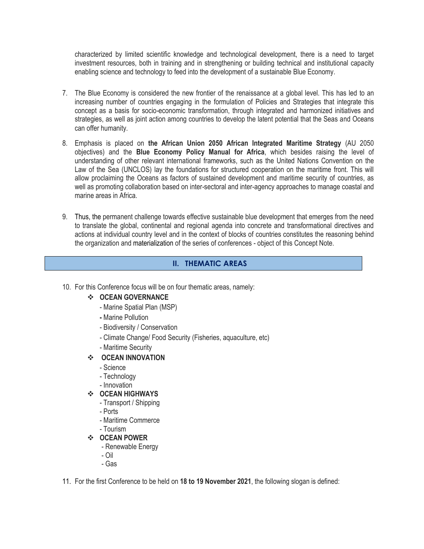characterized by limited scientific knowledge and technological development, there is a need to target investment resources, both in training and in strengthening or building technical and institutional capacity enabling science and technology to feed into the development of a sustainable Blue Economy.

- 7. The Blue Economy is considered the new frontier of the renaissance at a global level. This has led to an increasing number of countries engaging in the formulation of Policies and Strategies that integrate this concept as a basis for socio-economic transformation, through integrated and harmonized initiatives and strategies, as well as joint action among countries to develop the latent potential that the Seas and Oceans can offer humanity.
- 8. Emphasis is placed on **the African Union 2050 African Integrated Maritime Strategy** (AU 2050 objectives) and the **Blue Economy Policy Manual for Africa**, which besides raising the level of understanding of other relevant international frameworks, such as the United Nations Convention on the Law of the Sea (UNCLOS) lay the foundations for structured cooperation on the maritime front. This will allow proclaiming the Oceans as factors of sustained development and maritime security of countries, as well as promoting collaboration based on inter-sectoral and inter-agency approaches to manage coastal and marine areas in Africa.
- 9. Thus, the permanent challenge towards effective sustainable blue development that emerges from the need to translate the global, continental and regional agenda into concrete and transformational directives and actions at individual country level and in the context of blocks of countries constitutes the reasoning behind the organization and materialization of the series of conferences - object of this Concept Note.

#### **II. THEMATIC AREAS**

10. For this Conference focus will be on four thematic areas, namely:

#### **OCEAN GOVERNANCE**

- Marine Spatial Plan (MSP)
- **-** Marine Pollution
- Biodiversity / Conservation
- Climate Change/ Food Security (Fisheries, aquaculture, etc)
- Maritime Security

#### **OCEAN INNOVATION**

- Science
- Technology
- Innovation

#### **OCEAN HIGHWAYS**

- Transport / Shipping
- Ports
- Maritime Commerce
- Tourism
- **OCEAN POWER**
	- Renewable Energy
	- Oil
	- Gas
- 11. For the first Conference to be held on **18 to 19 November 2021**, the following slogan is defined: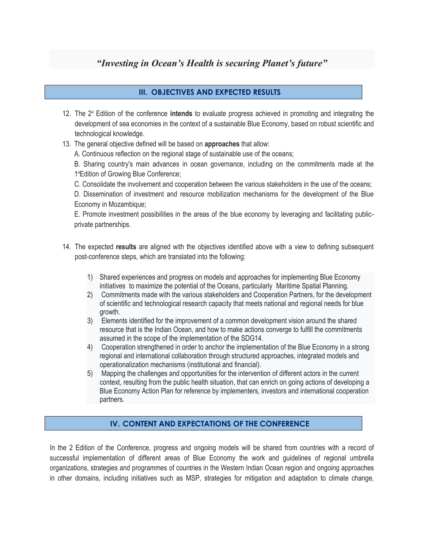### *"Investing in Ocean's Health is securing Planet's future"*

#### **III. OBJECTIVES AND EXPECTED RESULTS**

- 12. The 2ª Edition of the conference **intends** to evaluate progress achieved in promoting and integrating the development of sea economies in the context of a sustainable Blue Economy, based on robust scientific and technological knowledge.
- 13. The general objective defined will be based on **approaches** that allow:
	- A. Continuous reflection on the regional stage of sustainable use of the oceans;

B. Sharing country's main advances in ocean governance, including on the commitments made at the 1ªEdition of Growing Blue Conference;

C. Consolidate the involvement and cooperation between the various stakeholders in the use of the oceans;

D. Dissemination of investment and resource mobilization mechanisms for the development of the Blue Economy in Mozambique;

E. Promote investment possibilities in the areas of the blue economy by leveraging and facilitating publicprivate partnerships.

- 14. The expected **results** are aligned with the objectives identified above with a view to defining subsequent post-conference steps, which are translated into the following:
	- 1) Shared experiences and progress on models and approaches for implementing Blue Economy initiatives to maximize the potential of the Oceans, particularly Maritime Spatial Planning.
	- 2) Commitments made with the various stakeholders and Cooperation Partners, for the development of scientific and technological research capacity that meets national and regional needs for blue growth.
	- 3) Elements identified for the improvement of a common development vision around the shared resource that is the Indian Ocean, and how to make actions converge to fulfill the commitments assumed in the scope of the implementation of the SDG14.
	- 4) Cooperation strengthened in order to anchor the implementation of the Blue Economy in a strong regional and international collaboration through structured approaches, integrated models and operationalization mechanisms (institutional and financial).
	- 5) Mapping the challenges and opportunities for the intervention of different actors in the current context, resulting from the public health situation, that can enrich on going actions of developing a Blue Economy Action Plan for reference by implementers, investors and international cooperation partners.

#### **IV. CONTENT AND EXPECTATIONS OF THE CONFERENCE**

In the 2 Edition of the Conference, progress and ongoing models will be shared from countries with a record of successful implementation of different areas of Blue Economy the work and guidelines of regional umbrella organizations, strategies and programmes of countries in the Western Indian Ocean region and ongoing approaches in other domains, including initiatives such as MSP, strategies for mitigation and adaptation to climate change,